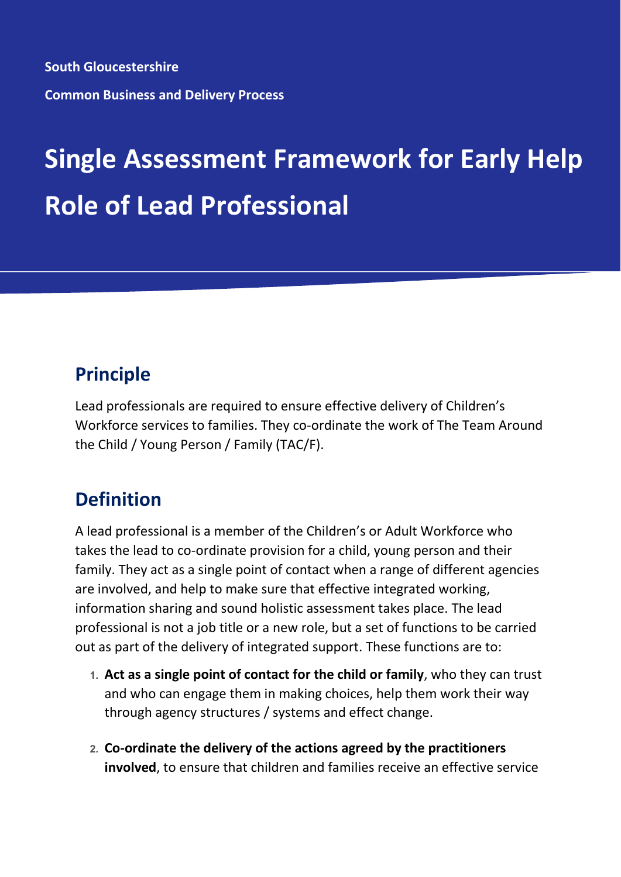**South Gloucestershire Common Business and Delivery Process**

# **Single Assessment Framework for Early Help Role of Lead Professional**

## **Principle**

Lead professionals are required to ensure effective delivery of Children's Workforce services to families. They co-ordinate the work of The Team Around the Child / Young Person / Family (TAC/F).

## **Definition**

A lead professional is a member of the Children's or Adult Workforce who takes the lead to co-ordinate provision for a child, young person and their family. They act as a single point of contact when a range of different agencies are involved, and help to make sure that effective integrated working, information sharing and sound holistic assessment takes place. The lead professional is not a job title or a new role, but a set of functions to be carried out as part of the delivery of integrated support. These functions are to:

- **1. Act as a single point of contact for the child or family**, who they can trust and who can engage them in making choices, help them work their way through agency structures / systems and effect change.
- **2. Co-ordinate the delivery of the actions agreed by the practitioners involved**, to ensure that children and families receive an effective service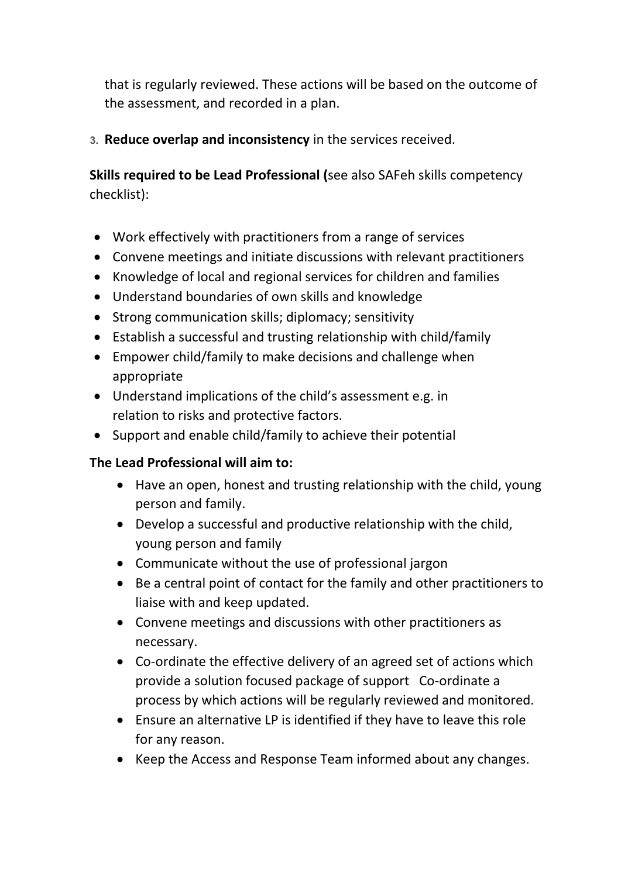that is regularly reviewed. These actions will be based on the outcome of the assessment, and recorded in a plan.

**3. Reduce overlap and inconsistency** in the services received.

**Skills required to be Lead Professional (**see also SAFeh skills competency checklist):

- Work effectively with practitioners from a range of services
- Convene meetings and initiate discussions with relevant practitioners
- Knowledge of local and regional services for children and families
- Understand boundaries of own skills and knowledge
- Strong communication skills; diplomacy; sensitivity
- Establish a successful and trusting relationship with child/family
- Empower child/family to make decisions and challenge when appropriate
- Understand implications of the child's assessment e.g. in relation to risks and protective factors.
- Support and enable child/family to achieve their potential

#### **The Lead Professional will aim to:**

- Have an open, honest and trusting relationship with the child, young person and family.
- Develop a successful and productive relationship with the child, young person and family
- Communicate without the use of professional jargon
- Be a central point of contact for the family and other practitioners to liaise with and keep updated.
- Convene meetings and discussions with other practitioners as necessary.
- Co-ordinate the effective delivery of an agreed set of actions which provide a solution focused package of support Co-ordinate a process by which actions will be regularly reviewed and monitored.
- Ensure an alternative LP is identified if they have to leave this role for any reason.
- Keep the Access and Response Team informed about any changes.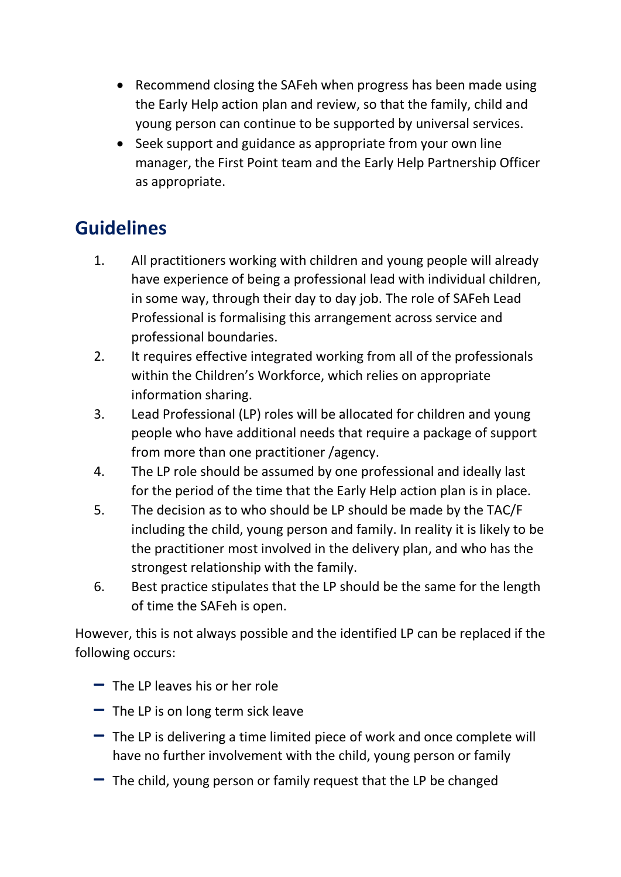- Recommend closing the SAFeh when progress has been made using the Early Help action plan and review, so that the family, child and young person can continue to be supported by universal services.
- Seek support and guidance as appropriate from your own line manager, the First Point team and the Early Help Partnership Officer as appropriate.

## **Guidelines**

- 1. All practitioners working with children and young people will already have experience of being a professional lead with individual children, in some way, through their day to day job. The role of SAFeh Lead Professional is formalising this arrangement across service and professional boundaries.
- 2. It requires effective integrated working from all of the professionals within the Children's Workforce, which relies on appropriate information sharing.
- 3. Lead Professional (LP) roles will be allocated for children and young people who have additional needs that require a package of support from more than one practitioner /agency.
- 4. The LP role should be assumed by one professional and ideally last for the period of the time that the Early Help action plan is in place.
- 5. The decision as to who should be LP should be made by the TAC/F including the child, young person and family. In reality it is likely to be the practitioner most involved in the delivery plan, and who has the strongest relationship with the family.
- 6. Best practice stipulates that the LP should be the same for the length of time the SAFeh is open.

However, this is not always possible and the identified LP can be replaced if the following occurs:

- **–** The LP leaves his or her role
- **–** The LP is on long term sick leave
- **–** The LP is delivering a time limited piece of work and once complete will have no further involvement with the child, young person or family
- **–** The child, young person or family request that the LP be changed